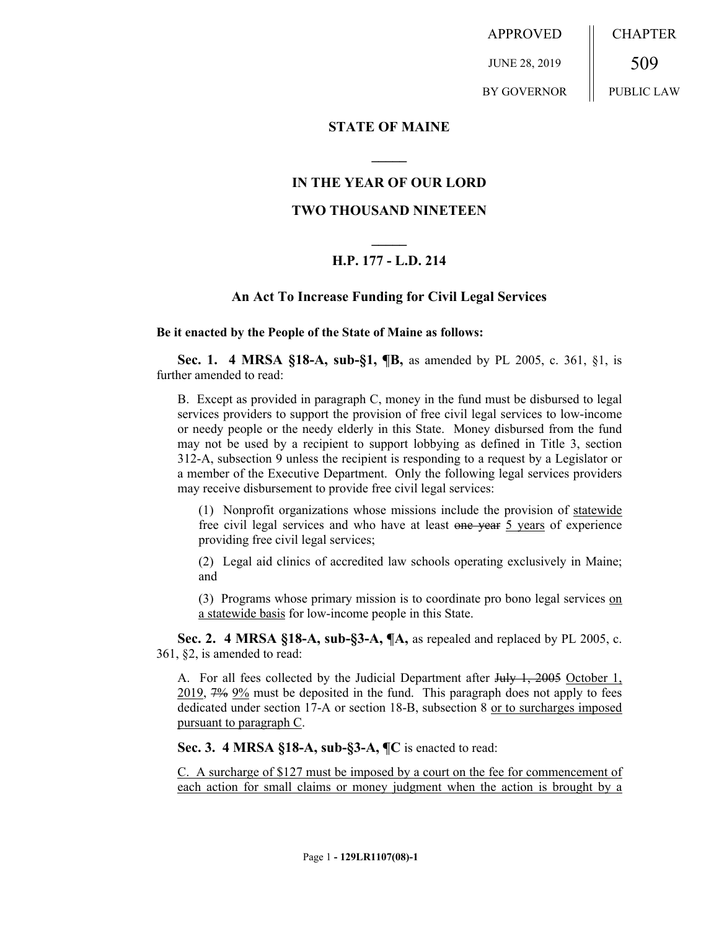APPROVED JUNE 28, 2019 BY GOVERNOR CHAPTER 509 PUBLIC LAW

**STATE OF MAINE**

# **IN THE YEAR OF OUR LORD**

**\_\_\_\_\_**

## **TWO THOUSAND NINETEEN**

# **\_\_\_\_\_ H.P. 177 - L.D. 214**

## **An Act To Increase Funding for Civil Legal Services**

#### **Be it enacted by the People of the State of Maine as follows:**

**Sec. 1. 4 MRSA §18-A, sub-§1, ¶B,** as amended by PL 2005, c. 361, §1, is further amended to read:

B. Except as provided in paragraph C, money in the fund must be disbursed to legal services providers to support the provision of free civil legal services to low-income or needy people or the needy elderly in this State. Money disbursed from the fund may not be used by a recipient to support lobbying as defined in Title 3, section 312-A, subsection 9 unless the recipient is responding to a request by a Legislator or a member of the Executive Department. Only the following legal services providers may receive disbursement to provide free civil legal services:

(1) Nonprofit organizations whose missions include the provision of statewide free civil legal services and who have at least one year 5 years of experience providing free civil legal services;

(2) Legal aid clinics of accredited law schools operating exclusively in Maine; and

(3) Programs whose primary mission is to coordinate pro bono legal services on a statewide basis for low-income people in this State.

**Sec. 2. 4 MRSA §18-A, sub-§3-A, ¶A,** as repealed and replaced by PL 2005, c. 361, §2, is amended to read:

A. For all fees collected by the Judicial Department after July 1, 2005 October 1, 2019, 7% 9% must be deposited in the fund. This paragraph does not apply to fees dedicated under section 17-A or section 18-B, subsection 8 or to surcharges imposed pursuant to paragraph C.

**Sec. 3. 4 MRSA §18-A, sub-§3-A, ¶C** is enacted to read:

C. A surcharge of \$127 must be imposed by a court on the fee for commencement of each action for small claims or money judgment when the action is brought by a